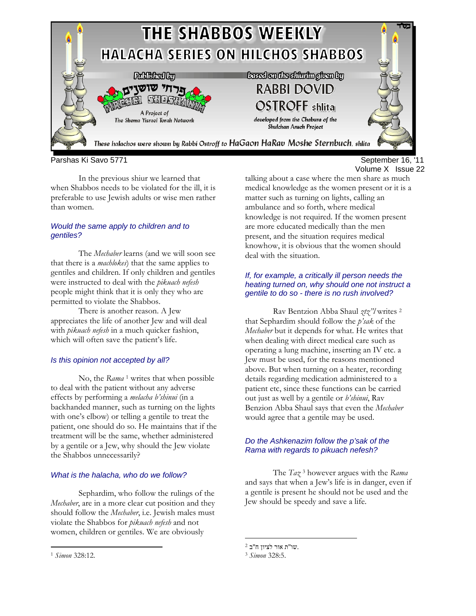

Parshas Ki Savo 5771 September 16, '11

In the previous shiur we learned that when Shabbos needs to be violated for the ill, it is preferable to use Jewish adults or wise men rather than women.

### *Would the same apply to children and to gentiles?*

The *Mechaber* learns (and we will soon see that there is a *machlokes*) that the same applies to gentiles and children. If only children and gentiles were instructed to deal with the *pikuach nefesh* people might think that it is only they who are permitted to violate the Shabbos.

There is another reason. A Jew appreciates the life of another Jew and will deal with *pikuach nefesh* in a much quicker fashion, which will often save the patient's life.

# *Is this opinion not accepted by all?*

No, the *Rama* 1 writes that when possible to deal with the patient without any adverse effects by performing a *melacha b'shinui* (in a backhanded manner, such as turning on the lights with one's elbow) or telling a gentile to treat the patient, one should do so. He maintains that if the treatment will be the same, whether administered by a gentile or a Jew, why should the Jew violate the Shabbos unnecessarily?

# *What is the halacha, who do we follow?*

Sephardim, who follow the rulings of the *Mechaber*, are in a more clear cut position and they should follow the *Mechaber*, i.e. Jewish males must violate the Shabbos for *pikuach nefesh* and not women, children or gentiles. We are obviously

#### *If, for example, a critically ill person needs the heating turned on, why should one not instruct a gentile to do so - there is no rush involved?*

Rav Bentzion Abba Shaul *ztz"l* writes 2 that Sephardim should follow the *p'sak* of the *Mechaber* but it depends for what. He writes that when dealing with direct medical care such as operating a lung machine, inserting an IV etc. a Jew must be used, for the reasons mentioned above. But when turning on a heater, recording details regarding medication administered to a patient etc, since these functions can be carried out just as well by a gentile or *b'shinui*, Rav Benzion Abba Shaul says that even the *Mechaber* would agree that a gentile may be used.

# *Do the Ashkenazim follow the p'sak of the Rama with regards to pikuach nefesh?*

The *Taz* 3 however argues with the *Rama* and says that when a Jew's life is in danger, even if a gentile is present he should not be used and the Jew should be speedy and save a life.

<u>.</u>

 $\overline{a}$ 

talking about a case where the men share as much medical knowledge as the women present or it is a matter such as turning on lights, calling an ambulance and so forth, where medical knowledge is not required. If the women present are more educated medically than the men present, and the situation requires medical knowhow, it is obvious that the women should deal with the situation.

 $^2$ יב מור לציון ח"ב  $^3$   $\emph{Simon}$ 328:5.

<sup>1</sup> *Simon* 328:12.

Volume X Issue 22